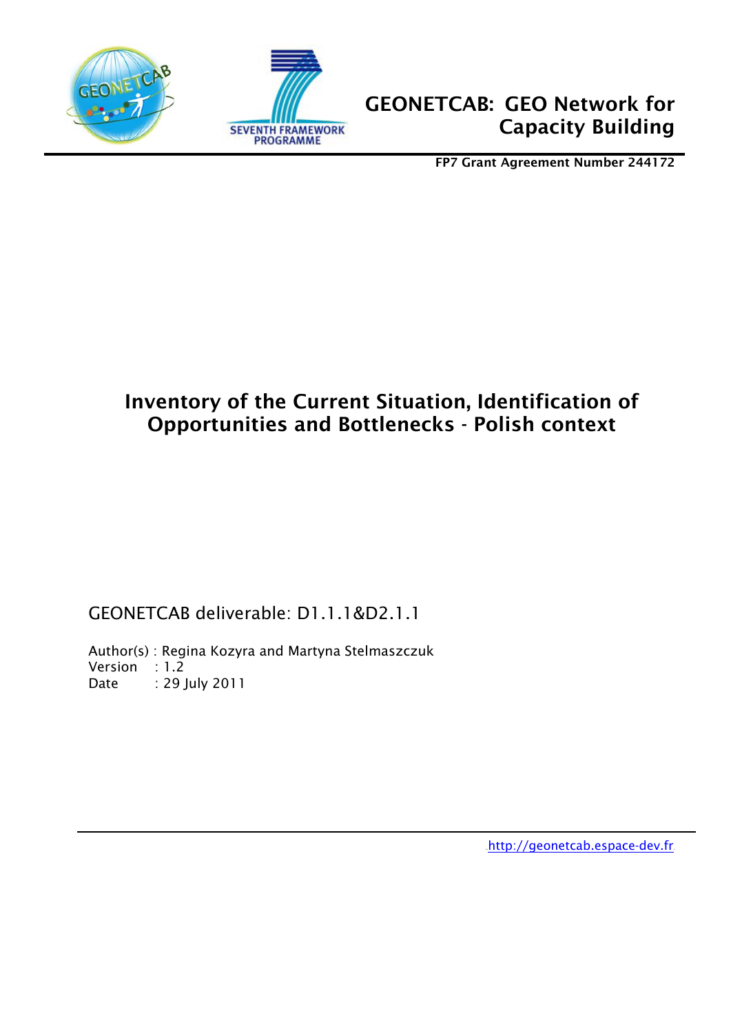

1



FP7 Grant Agreement Number 244172

# Inventory of the Current Situation, Identification of Opportunities and Bottlenecks - Polish context

GEONETCAB deliverable: D1.1.1&D2.1.1

Author(s) : Regina Kozyra and Martyna Stelmaszczuk Version : 1.2 Date : 29 July 2011

http://geonetcab.espace-dev.fr.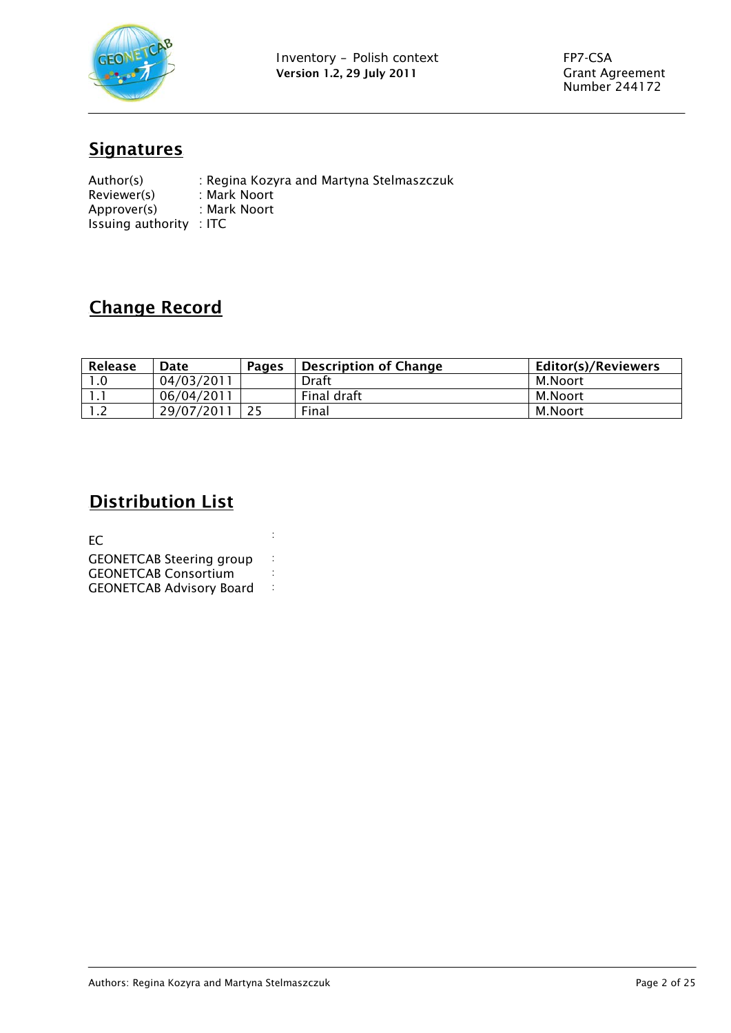

# **Signatures**

| Author(s)                          | : Regina Kozyra and Martyna Stelmaszczuk |
|------------------------------------|------------------------------------------|
| Reviewer(s)                        | : Mark Noort                             |
| Approver(s)                        | : Mark Noort                             |
| Issuing authority $\therefore$ ITC |                                          |

# Change Record

| Release    | Date       | <b>Pages</b> | Description of Change | <b>Editor(s)/Reviewers</b> |
|------------|------------|--------------|-----------------------|----------------------------|
| .0         | 04/03/2011 |              | Draft                 | M.Noort                    |
|            | 06/04/2011 |              | Final draft           | M.Noort                    |
| . <u>.</u> | 29/07/2011 |              | Final                 | M.Noort                    |

## **Distribution List**

 $EC$  is a set of  $\frac{1}{2}$ GEONETCAB Steering group :<br>GEONETCAR Consortium : GEONETCAB Consortium<br>GEONETCAB Advisory Board GEONETCAB Advisory Board :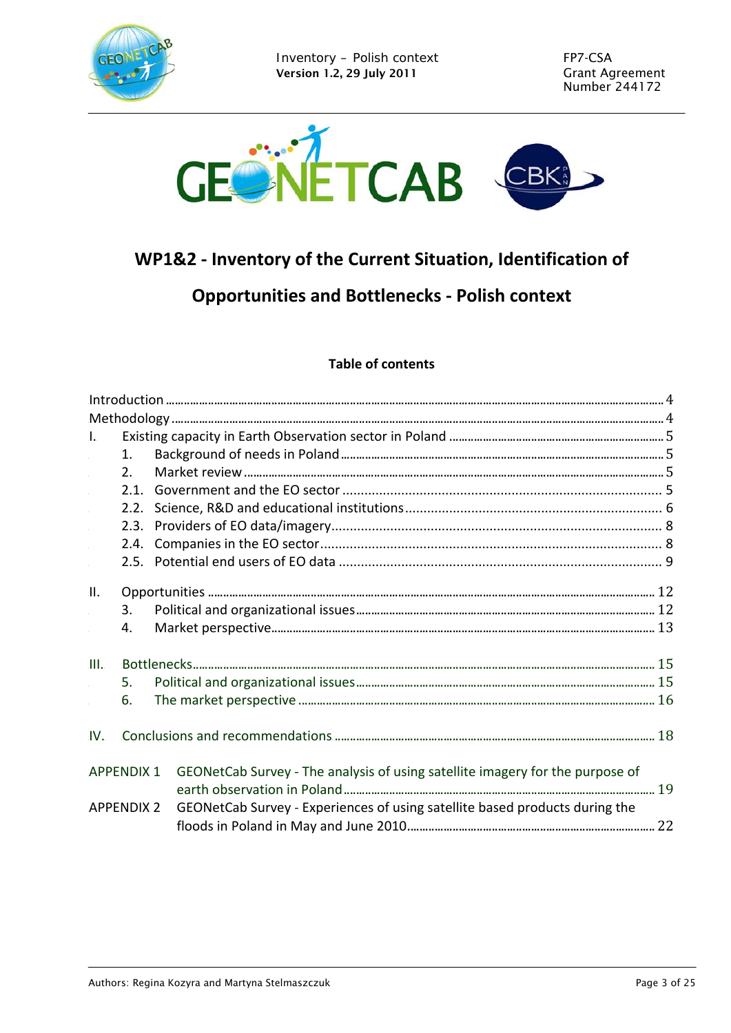



# WP1&2 - Inventory of the Current Situation, Identification of

# **Opportunities and Bottlenecks - Polish context**

### **Table of contents**

| $\mathbf{L}$ |                   |                                                                               |  |
|--------------|-------------------|-------------------------------------------------------------------------------|--|
|              | 1 <sub>1</sub>    |                                                                               |  |
|              | 2.                |                                                                               |  |
|              |                   |                                                                               |  |
|              |                   |                                                                               |  |
|              |                   |                                                                               |  |
|              |                   |                                                                               |  |
|              |                   |                                                                               |  |
| $\prod$ .    |                   |                                                                               |  |
|              | 3.                |                                                                               |  |
|              | 4.                |                                                                               |  |
| III.         |                   |                                                                               |  |
|              | .5.               |                                                                               |  |
|              | 6.                |                                                                               |  |
| IV.          |                   |                                                                               |  |
|              | <b>APPENDIX 1</b> | GEONetCab Survey - The analysis of using satellite imagery for the purpose of |  |
|              | <b>APPENDIX 2</b> | GEONetCab Survey - Experiences of using satellite based products during the   |  |
|              |                   |                                                                               |  |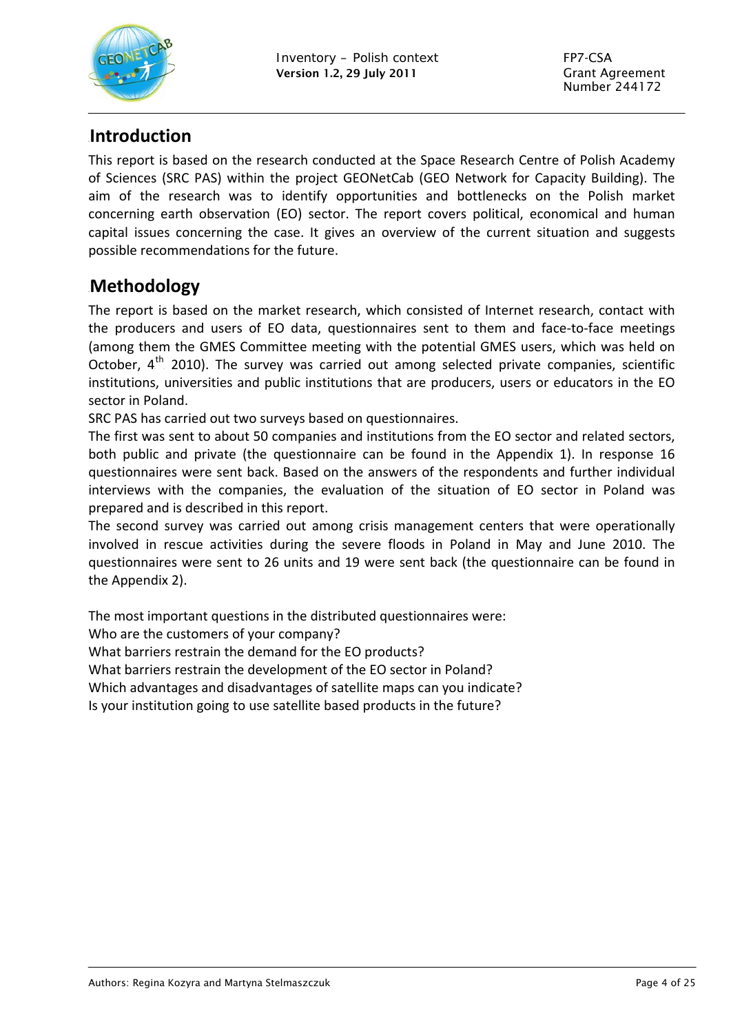

### <span id="page-3-0"></span>0B**Introduction**

This report is based on the research conducted at the Space Research Centre of Polish Academy of Sciences (SRC PAS) within the project GEONetCab (GEO Network for Capacity Building). The aim of the research was to identify opportunities and bottlenecks on the Polish market concerning earth observation (EO) sector. The report covers political, economical and human capital issues concerning the case. It gives an overview of the current situation and suggests possible recommendations for the future.

### <span id="page-3-1"></span>1B**Methodology**

The report is based on the market research, which consisted of Internet research, contact with the producers and users of EO data, questionnaires sent to them and face‐to‐face meetings (among them the GMES Committee meeting with the potential GMES users, which was held on October,  $4<sup>th</sup>$  2010). The survey was carried out among selected private companies, scientific institutions, universities and public institutions that are producers, users or educators in the EO sector in Poland.

SRC PAS has carried out two surveys based on questionnaires.

The first was sent to about 50 companies and institutions from the EO sector and related sectors, both public and private (the questionnaire can be found in the Appendix 1). In response 16 questionnaires were sent back. Based on the answers of the respondents and further individual interviews with the companies, the evaluation of the situation of EO sector in Poland was prepared and is described in this report.

The second survey was carried out among crisis management centers that were operationally involved in rescue activities during the severe floods in Poland in May and June 2010. The questionnaires were sent to 26 units and 19 were sent back (the questionnaire can be found in the Appendix 2).

The most important questions in the distributed questionnaires were:

Who are the customers of your company?

What barriers restrain the demand for the EO products?

What barriers restrain the development of the EO sector in Poland?

Which advantages and disadvantages of satellite maps can you indicate?

Is your institution going to use satellite based products in the future?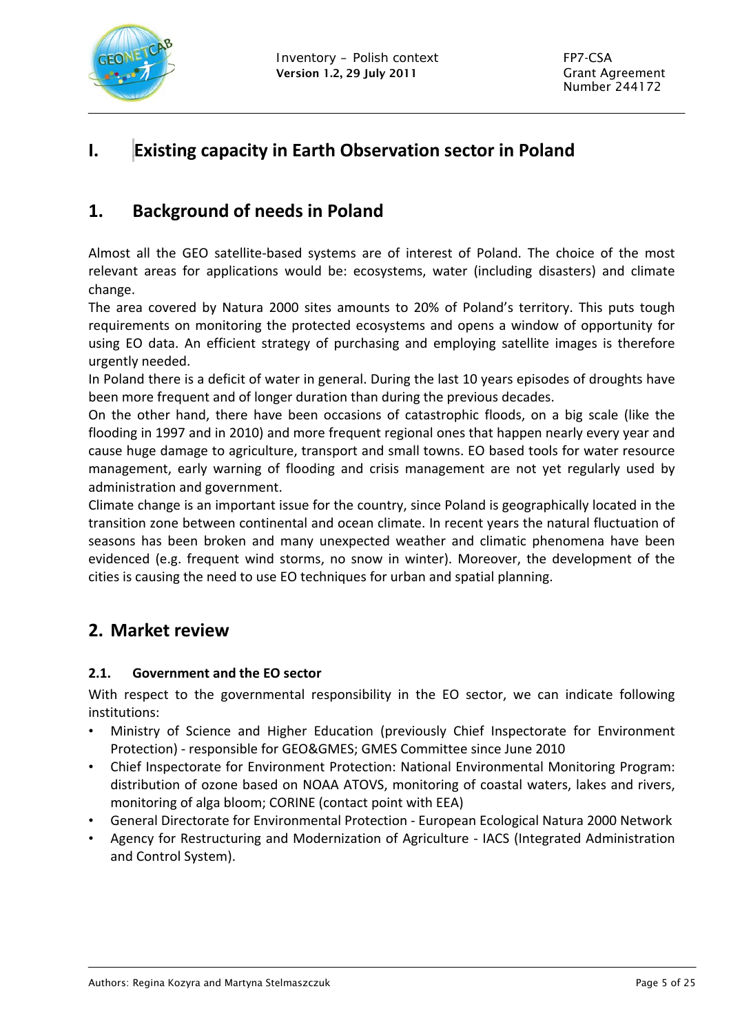

# **I.** 2B**Existing capacity in Earth Observation sector in Poland**

### <span id="page-4-1"></span>**1. Background of needs in Poland**

Almost all the GEO satellite‐based systems are of interest of Poland. The choice of the most relevant areas for applications would be: ecosystems, water (including disasters) and climate change.

The area covered by Natura 2000 sites amounts to 20% of Poland's territory. This puts tough requirements on monitoring the protected ecosystems and opens a window of opportunity for using EO data. An efficient strategy of purchasing and employing satellite images is therefore urgently needed.

In Poland there is a deficit of water in general. During the last 10 years episodes of droughts have been more frequent and of longer duration than during the previous decades.

On the other hand, there have been occasions of catastrophic floods, on a big scale (like the flooding in 1997 and in 2010) and more frequent regional ones that happen nearly every year and cause huge damage to agriculture, transport and small towns. EO based tools for water resource management, early warning of flooding and crisis management are not yet regularly used by administration and government.

Climate change is an important issue for the country, since Poland is geographically located in the transition zone between continental and ocean climate. In recent years the natural fluctuation of seasons has been broken and many unexpected weather and climatic phenomena have been evidenced (e.g. frequent wind storms, no snow in winter). Moreover, the development of the cities is causing the need to use EO techniques for urban and spatial planning.

### <span id="page-4-2"></span>**2. Market review**

#### <span id="page-4-3"></span>**2.1. Government and the EO sector**

With respect to the governmental responsibility in the EO sector, we can indicate following institutions:

- Ministry of Science and Higher Education (previously Chief Inspectorate for Environment Protection) ‐ responsible for GEO&GMES; GMES Committee since June 2010
- <span id="page-4-0"></span>• Chief Inspectorate for Environment Protection: National Environmental Monitoring Program: distribution of ozone based on NOAA ATOVS, monitoring of coastal waters, lakes and rivers, monitoring of alga bloom; CORINE (contact point with EEA)
- General Directorate for Environmental Protection European Ecological Natura 2000 Network
- Agency for Restructuring and Modernization of Agriculture IACS (Integrated Administration and Control System).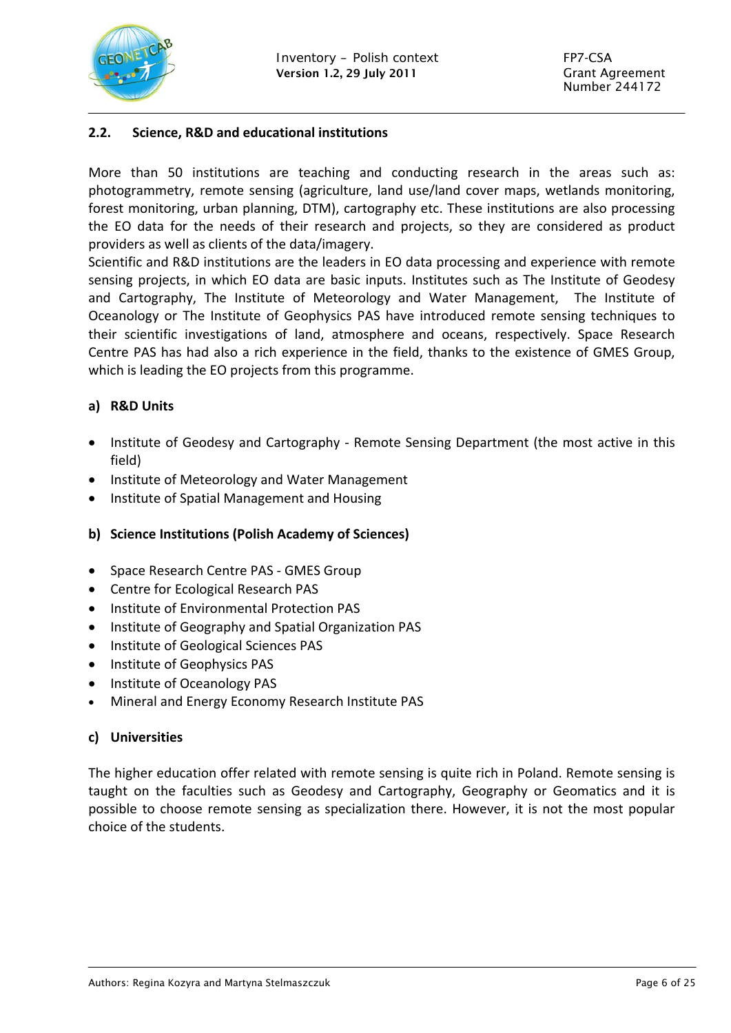

#### **2.2. Science, R&D and educational institutions**

More than 50 institutions are teaching and conducting research in the areas such as: photogrammetry, remote sensing (agriculture, land use/land cover maps, wetlands monitoring, forest monitoring, urban planning, DTM), cartography etc. These institutions are also processing the EO data for the needs of their research and projects, so they are considered as product providers as well as clients of the data/imagery.

Scientific and R&D institutions are the leaders in EO data processing and experience with remote sensing projects, in which EO data are basic inputs. Institutes such as The Institute of Geodesy and Cartography, The Institute of Meteorology and Water Management, The Institute of Oceanology or The Institute of Geophysics PAS have introduced remote sensing techniques to their scientific investigations of land, atmosphere and oceans, respectively. Space Research Centre PAS has had also a rich experience in the field, thanks to the existence of GMES Group, which is leading the EO projects from this programme.

#### **a) R&D Units**

- Institute of Geodesy and Cartography Remote Sensing Department (the most active in this field)
- Institute of Meteorology and Water Management
- Institute of Spatial Management and Housing

#### **b) Science Institutions (Polish Academy of Sciences)**

- Space Research Centre PAS GMES Group
- Centre for Ecological Research PAS
- Institute of Environmental Protection PAS
- Institute of Geography and Spatial Organization PAS
- Institute of Geological Sciences PAS
- Institute of Geophysics PAS
- Institute of Oceanology PAS
- Mineral and Energy Economy Research Institute PAS

#### **c) Universities**

<span id="page-5-0"></span>The higher education offer related with remote sensing is quite rich in Poland. Remote sensing is taught on the faculties such as Geodesy and Cartography, Geography or Geomatics and it is possible to choose remote sensing as specialization there. However, it is not the most popular choice of the students.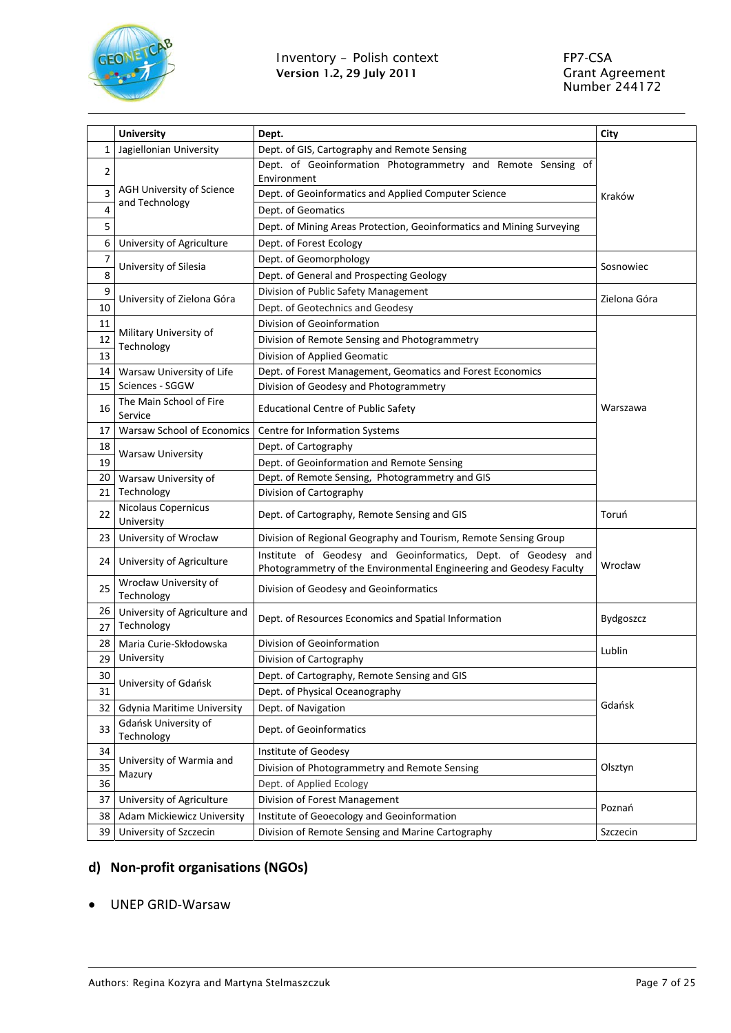

|                | <b>University</b>                                                   | Dept.                                                                                                                                | City             |  |
|----------------|---------------------------------------------------------------------|--------------------------------------------------------------------------------------------------------------------------------------|------------------|--|
| 1              | Jagiellonian University                                             | Dept. of GIS, Cartography and Remote Sensing                                                                                         |                  |  |
| $\overline{2}$ |                                                                     | Dept. of Geoinformation Photogrammetry and Remote Sensing of<br>Environment                                                          |                  |  |
| 3              | <b>AGH University of Science</b>                                    | Dept. of Geoinformatics and Applied Computer Science                                                                                 | Kraków           |  |
| 4              | and Technology                                                      | Dept. of Geomatics                                                                                                                   |                  |  |
| 5              |                                                                     | Dept. of Mining Areas Protection, Geoinformatics and Mining Surveying                                                                |                  |  |
| 6              | University of Agriculture                                           | Dept. of Forest Ecology                                                                                                              |                  |  |
| 7              |                                                                     | Dept. of Geomorphology                                                                                                               |                  |  |
| 8              | University of Silesia                                               | Dept. of General and Prospecting Geology                                                                                             | Sosnowiec        |  |
| 9              |                                                                     | Division of Public Safety Management                                                                                                 |                  |  |
| 10             | University of Zielona Góra                                          | Dept. of Geotechnics and Geodesy                                                                                                     | Zielona Góra     |  |
| 11             |                                                                     | Division of Geoinformation                                                                                                           |                  |  |
| 12             | Military University of                                              | Division of Remote Sensing and Photogrammetry                                                                                        |                  |  |
| 13             | Technology                                                          | Division of Applied Geomatic                                                                                                         |                  |  |
| 14             | Warsaw University of Life                                           | Dept. of Forest Management, Geomatics and Forest Economics                                                                           |                  |  |
| 15             | Sciences - SGGW                                                     | Division of Geodesy and Photogrammetry                                                                                               |                  |  |
| 16             | The Main School of Fire<br>Service                                  | <b>Educational Centre of Public Safety</b>                                                                                           | Warszawa         |  |
| 17             | <b>Warsaw School of Economics</b><br>Centre for Information Systems |                                                                                                                                      |                  |  |
| 18             |                                                                     | Dept. of Cartography                                                                                                                 |                  |  |
| 19             | <b>Warsaw University</b>                                            | Dept. of Geoinformation and Remote Sensing                                                                                           |                  |  |
| 20             | Warsaw University of                                                | Dept. of Remote Sensing, Photogrammetry and GIS                                                                                      |                  |  |
| 21             | Technology                                                          | Division of Cartography                                                                                                              |                  |  |
| 22             | Nicolaus Copernicus<br>University                                   | Dept. of Cartography, Remote Sensing and GIS                                                                                         | Toruń            |  |
| 23             | University of Wrocław                                               | Division of Regional Geography and Tourism, Remote Sensing Group                                                                     |                  |  |
| 24             | University of Agriculture                                           | Institute of Geodesy and Geoinformatics, Dept. of Geodesy and<br>Photogrammetry of the Environmental Engineering and Geodesy Faculty | Wrocław          |  |
| 25             | Wrocław University of<br>Technology                                 | Division of Geodesy and Geoinformatics                                                                                               |                  |  |
| 26<br>27       | University of Agriculture and<br>Technology                         | Dept. of Resources Economics and Spatial Information                                                                                 | <b>Bydgoszcz</b> |  |
| 28             | Maria Curie-Skłodowska                                              | Division of Geoinformation                                                                                                           |                  |  |
| 29             | University                                                          | Division of Cartography                                                                                                              | Lublin           |  |
| 30             |                                                                     | Dept. of Cartography, Remote Sensing and GIS                                                                                         |                  |  |
| 31             | University of Gdańsk                                                | Dept. of Physical Oceanography                                                                                                       |                  |  |
| 32             | <b>Gdynia Maritime University</b>                                   | Dept. of Navigation                                                                                                                  | Gdańsk           |  |
| 33             | Gdańsk University of<br>Technology                                  | Dept. of Geoinformatics                                                                                                              |                  |  |
| 34             |                                                                     | Institute of Geodesy                                                                                                                 |                  |  |
| 35             | University of Warmia and<br>Mazury                                  | Division of Photogrammetry and Remote Sensing                                                                                        | Olsztyn          |  |
| 36             |                                                                     | Dept. of Applied Ecology                                                                                                             |                  |  |
| 37             | University of Agriculture                                           | Division of Forest Management                                                                                                        |                  |  |
| 38             | Adam Mickiewicz University                                          | Institute of Geoecology and Geoinformation                                                                                           | Poznań           |  |
| 39             | University of Szczecin                                              | Division of Remote Sensing and Marine Cartography                                                                                    | Szczecin         |  |

### **d) Non‐profit organisations (NGOs)**

#### UNEP GRID‐Warsaw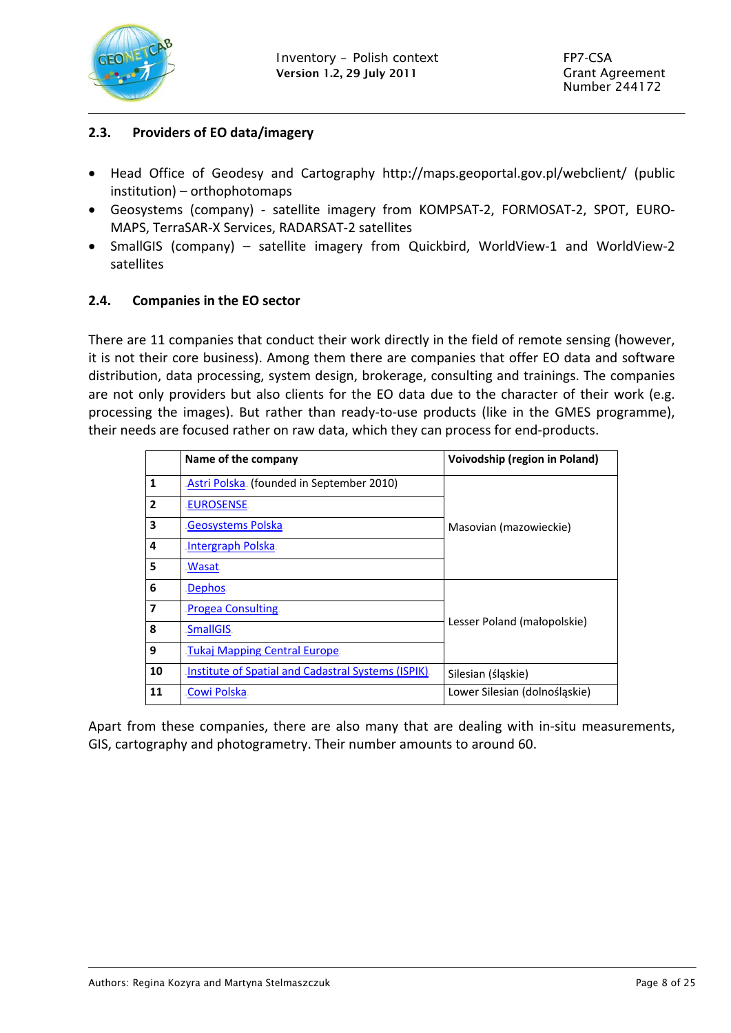

#### <span id="page-7-0"></span>**2.3. Providers of EO data/imagery**

- Head Office of Geodesy and Cartography http://maps.geoportal.gov.pl/webclient/ (public institution) – orthophotomaps
- Geosystems (company) ‐ satellite imagery from KOMPSAT‐2, FORMOSAT‐2, SPOT, EURO‐ MAPS, TerraSAR‐X Services, RADARSAT‐2 satellites
- SmallGIS (company) satellite imagery from Quickbird, WorldView‐1 and WorldView‐2 satellites

#### <span id="page-7-1"></span>**2.4. Companies in the EO sector**

There are 11 companies that conduct their work directly in the field of remote sensing (however, it is not their core business). Among them there are companies that offer EO data and software distribution, data processing, system design, brokerage, consulting and trainings. The companies are not only providers but also clients for the EO data due to the character of their work (e.g. processing the images). But rather than ready‐to‐use products (like in the GMES programme), their needs are focused rather on raw data, which they can process for end‐products.

|                | Name of the company                                 | Voivodship (region in Poland) |
|----------------|-----------------------------------------------------|-------------------------------|
| $\mathbf{1}$   | Astri Polska. (founded in September 2010)           |                               |
| $\overline{2}$ | EUROSENSE.                                          |                               |
| 3              | Geosystems Polska.                                  | Masovian (mazowieckie)        |
| 4              | Intergraph Polska.                                  |                               |
| 5              | .Wasat                                              |                               |
| 6              | Dephos.                                             |                               |
| 7              | <b>Progea Consulting</b>                            |                               |
| 8              | .SmallGIS.                                          | Lesser Poland (małopolskie)   |
| 9              | <b>Tukaj Mapping Central Europe</b>                 |                               |
| 10             | Institute of Spatial and Cadastral Systems (ISPIK). | Silesian (śląskie)            |
| 11             | Cowi Polska                                         | Lower Silesian (dolnośląskie) |

Apart from these companies, there are also many that are dealing with in‐situ measurements, GIS, cartography and photogrametry. Their number amounts to around 60.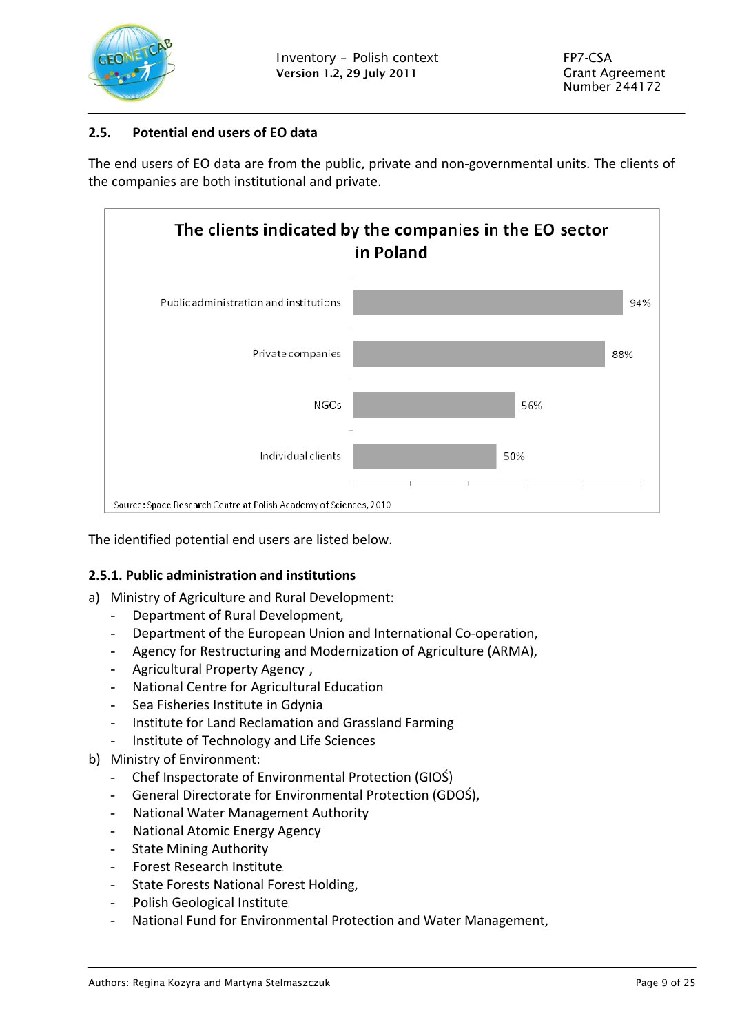

#### **2.5. Potential end users of EO data**

The end users of EO data are from the public, private and non-governmental units. The clients of the companies are both institutional and private.



The identified potential end users are listed below.

#### **2.5.1. Public administration and institutions**

- a) Ministry of Agriculture and Rural Development:
	- Department of Rural Development,
	- Department of the European Union and International Co-operation,
	- Agency for Restructuring and Modernization of Agriculture (ARMA),
	- Agricultural Property Agency ,
	- National Centre for Agricultural Education
	- Sea Fisheries Institute in Gdynia
	- Institute for Land Reclamation and Grassland Farming
	- Institute of Technology and Life Sciences
- <span id="page-8-0"></span>b) Ministry of Environment:
	- Chef Inspectorate of Environmental Protection (GIOŚ)
	- General Directorate for Environmental Protection (GDOŚ),
	- National Water Management Authority
	- National Atomic Energy Agency
	- State Mining Authority
	- Forest Research Institute
	- State Forests National Forest Holding,
	- Polish Geological Institute.
	- National Fund for Environmental Protection and Water Management,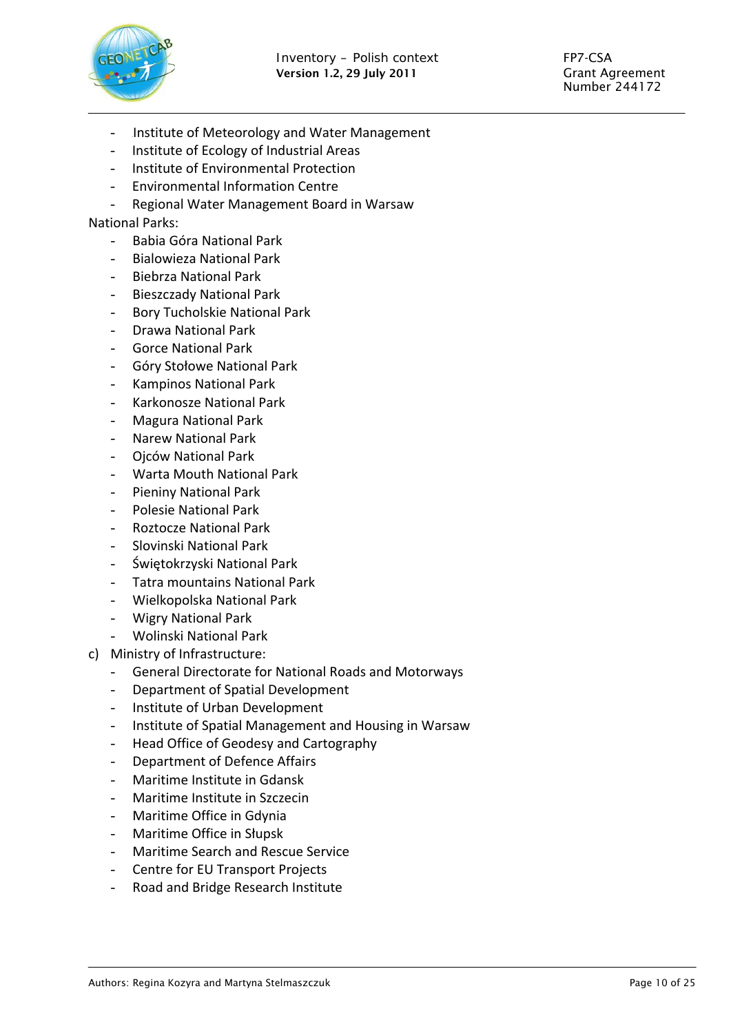

- Institute of Meteorology and Water Management
- Institute of Ecology of Industrial Areas
- Institute of Environmental Protection
- Environmental Information Centre
- Regional Water Management Board in Warsaw

#### National Parks:

- Babia Góra National Park
- Bialowieza National Park
- Biebrza National Park
- Bieszczady National Park
- Bory Tucholskie National Park
- Drawa National Park
- Gorce National Park
- Góry Stołowe National Park
- Kampinos National Park
- Karkonosze National Park
- Magura National Park
- Narew National Park
- Ojców National Park
- Warta Mouth National Park
- Pieniny National Park
- Polesie National Park
- Roztocze National Park
- Slovinski National Park
- Świętokrzyski National Park
- Tatra mountains National Park
- Wielkopolska National Park
- Wigry National Park
- Wolinski National Park
- c) Ministry of Infrastructure:
	- General Directorate for National Roads and Motorways
	- Department of Spatial Development
	- Institute of Urban Development
	- Institute of Spatial Management and Housing in Warsaw
	- Head Office of Geodesy and Cartography
	- Department of Defence Affairs
	- Maritime Institute in Gdansk
	- Maritime Institute in Szczecin
	- Maritime Office in Gdynia
	- Maritime Office in Słupsk
	- Maritime Search and Rescue Service
	- Centre for EU Transport Projects
	- Road and Bridge Research Institute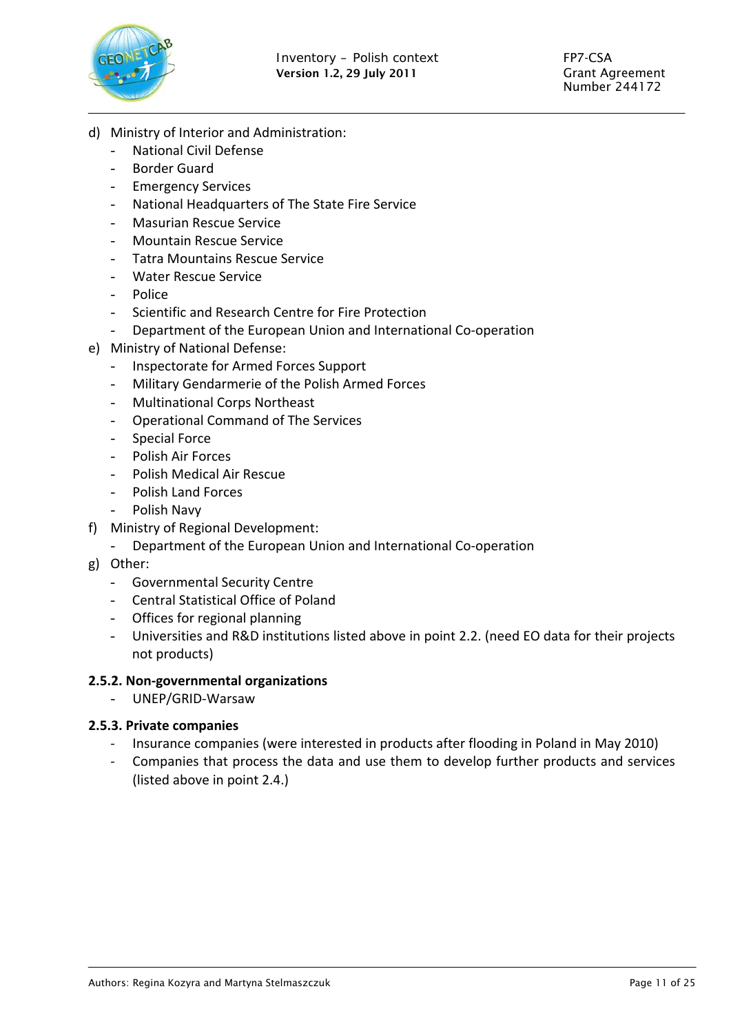

- d) Ministry of Interior and Administration:
	- National Civil Defense
	- Border Guard
	- **Emergency Services**
	- National Headquarters of The State Fire Service
	- Masurian Rescue Service
	- Mountain Rescue Service
	- Tatra Mountains Rescue Service
	- Water Rescue Service
	- Police
	- Scientific and Research Centre for Fire Protection
	- Department of the European Union and International Co-operation
- e) Ministry of National Defense:
	- Inspectorate for Armed Forces Support
	- Military Gendarmerie of the Polish Armed Forces
	- Multinational Corps Northeast
	- Operational Command of The Services
	- Special Force
	- Polish Air Forces
	- Polish Medical Air Rescue
	- Polish Land Forces
	- Polish Navy
- f) Ministry of Regional Development:
	- Department of the European Union and International Co‐operation
- g) Other:
	- Governmental Security Centre
	- Central Statistical Office of Poland
	- Offices for regional planning
	- Universities and R&D institutions listed above in point 2.2. (need EO data for their projects not products)

#### **2.5.2. Non‐governmental organizations**

- UNEP/GRID‐Warsaw

#### **2.5.3. Private companies**

- ‐ Insurance companies (were interested in products after flooding in Poland in May 2010)
- ‐ Companies that process the data and use them to develop further products and services (listed above in point 2.4.)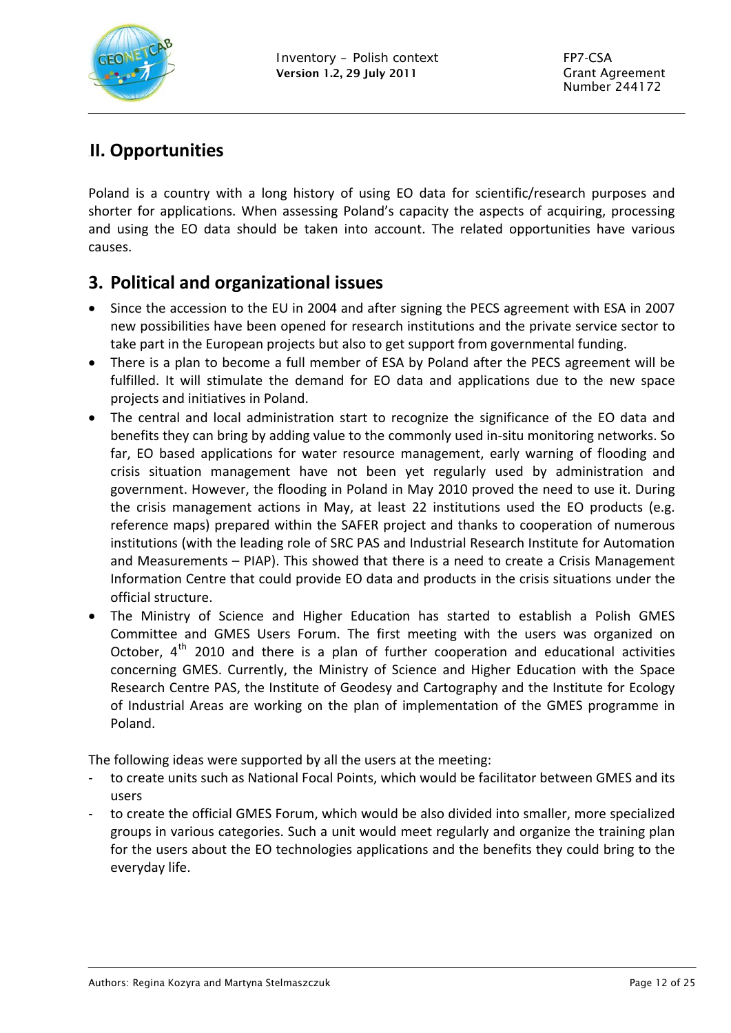

# 3B**II. Opportunities**

Poland is a country with a long history of using EO data for scientific/research purposes and shorter for applications. When assessing Poland's capacity the aspects of acquiring, processing and using the EO data should be taken into account. The related opportunities have various causes.

## <span id="page-11-1"></span>**3. Political and organizational issues**

- Since the accession to the EU in 2004 and after signing the PECS agreement with ESA in 2007 new possibilities have been opened for research institutions and the private service sector to take part in the European projects but also to get support from governmental funding.
- There is a plan to become a full member of ESA by Poland after the PECS agreement will be fulfilled. It will stimulate the demand for EO data and applications due to the new space projects and initiatives in Poland.
- The central and local administration start to recognize the significance of the EO data and benefits they can bring by adding value to the commonly used in‐situ monitoring networks. So far, EO based applications for water resource management, early warning of flooding and crisis situation management have not been yet regularly used by administration and government. However, the flooding in Poland in May 2010 proved the need to use it. During the crisis management actions in May, at least 22 institutions used the EO products (e.g. reference maps) prepared within the SAFER project and thanks to cooperation of numerous institutions (with the leading role of SRC PAS and Industrial Research Institute for Automation and Measurements – PIAP). This showed that there is a need to create a Crisis Management Information Centre that could provide EO data and products in the crisis situations under the official structure.
- The Ministry of Science and Higher Education has started to establish a Polish GMES Committee and GMES Users Forum. The first meeting with the users was organized on October,  $4<sup>th</sup>$  2010 and there is a plan of further cooperation and educational activities concerning GMES. Currently, the Ministry of Science and Higher Education with the Space Research Centre PAS, the Institute of Geodesy and Cartography and the Institute for Ecology of Industrial Areas are working on the plan of implementation of the GMES programme in Poland.

The following ideas were supported by all the users at the meeting:

- ‐ to create units such as National Focal Points, which would be facilitator between GMES and its users
- <span id="page-11-0"></span>‐ to create the official GMES Forum, which would be also divided into smaller, more specialized groups in various categories. Such a unit would meet regularly and organize the training plan for the users about the EO technologies applications and the benefits they could bring to the everyday life.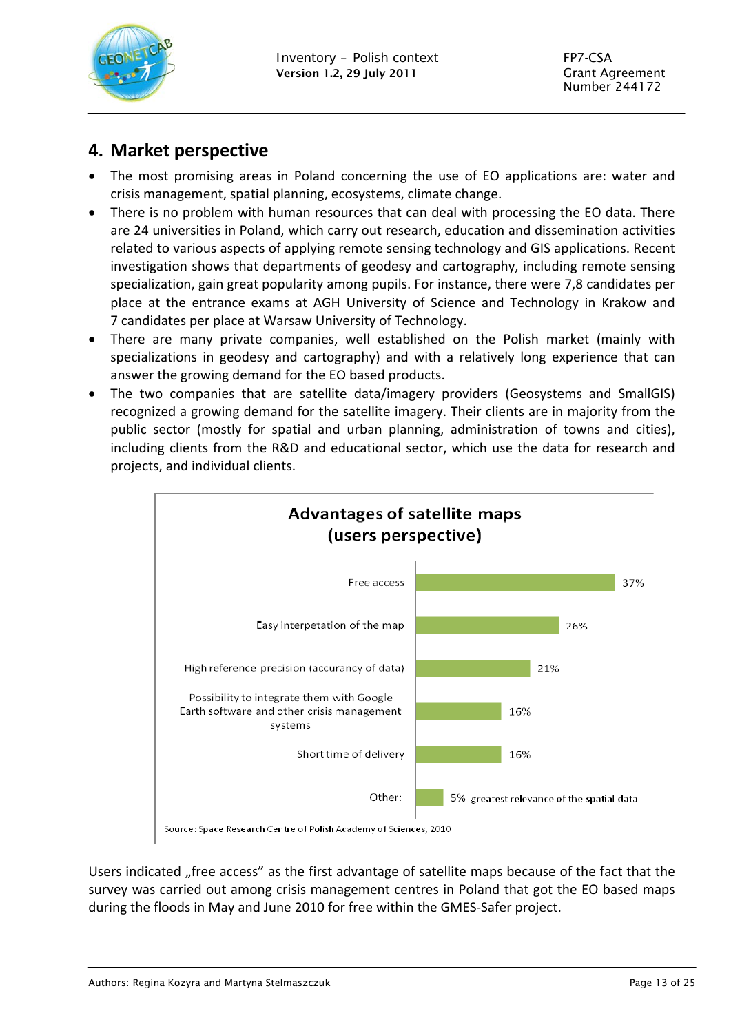

### **4. Market perspective**

- The most promising areas in Poland concerning the use of EO applications are: water and crisis management, spatial planning, ecosystems, climate change.
- There is no problem with human resources that can deal with processing the EO data. There are 24 universities in Poland, which carry out research, education and dissemination activities related to various aspects of applying remote sensing technology and GIS applications. Recent investigation shows that departments of geodesy and cartography, including remote sensing specialization, gain great popularity among pupils. For instance, there were 7,8 candidates per place at the entrance exams at AGH University of Science and Technology in Krakow and 7 candidates per place at Warsaw University of Technology.
- There are many private companies, well established on the Polish market (mainly with specializations in geodesy and cartography) and with a relatively long experience that can answer the growing demand for the EO based products.
- The two companies that are satellite data/imagery providers (Geosystems and SmallGIS) recognized a growing demand for the satellite imagery. Their clients are in majority from the public sector (mostly for spatial and urban planning, administration of towns and cities), including clients from the R&D and educational sector, which use the data for research and projects, and individual clients.



<span id="page-12-0"></span>Users indicated "free access" as the first advantage of satellite maps because of the fact that the survey was carried out among crisis management centres in Poland that got the EO based maps during the floods in May and June 2010 for free within the GMES‐Safer project.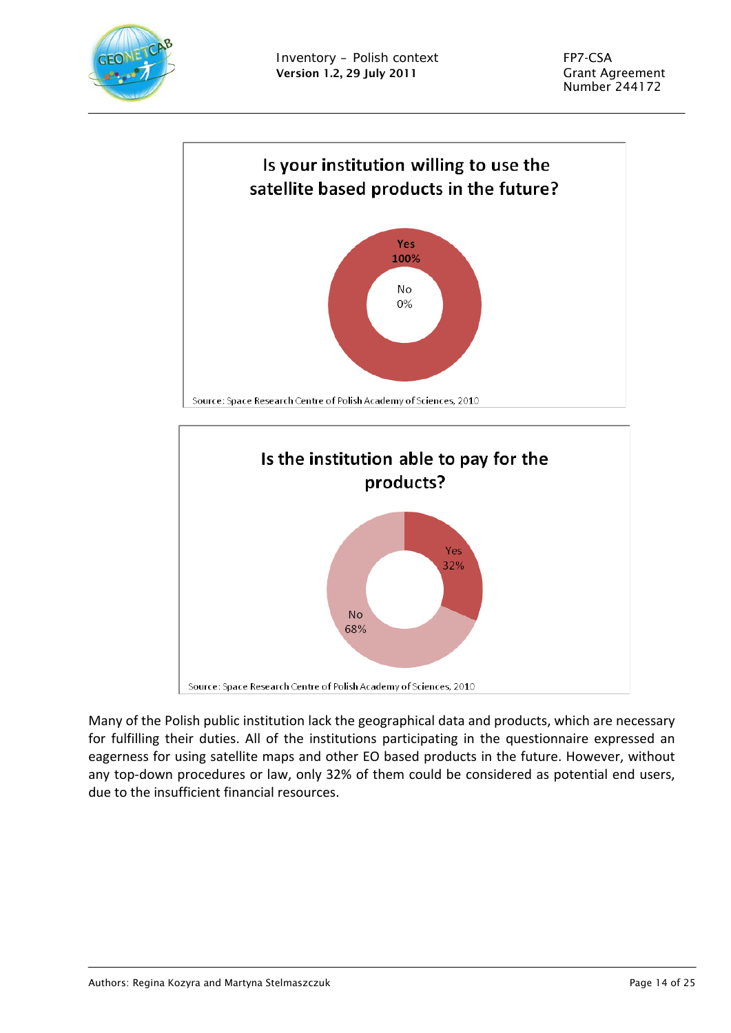



Many of the Polish public institution lack the geographical data and products, which are necessary for fulfilling their duties. All of the institutions participating in the questionnaire expressed an eagerness for using satellite maps and other EO based products in the future. However, without

any top-down procedures or law, only 32% of them could be considered as potential end users, due to the insufficient financial resources.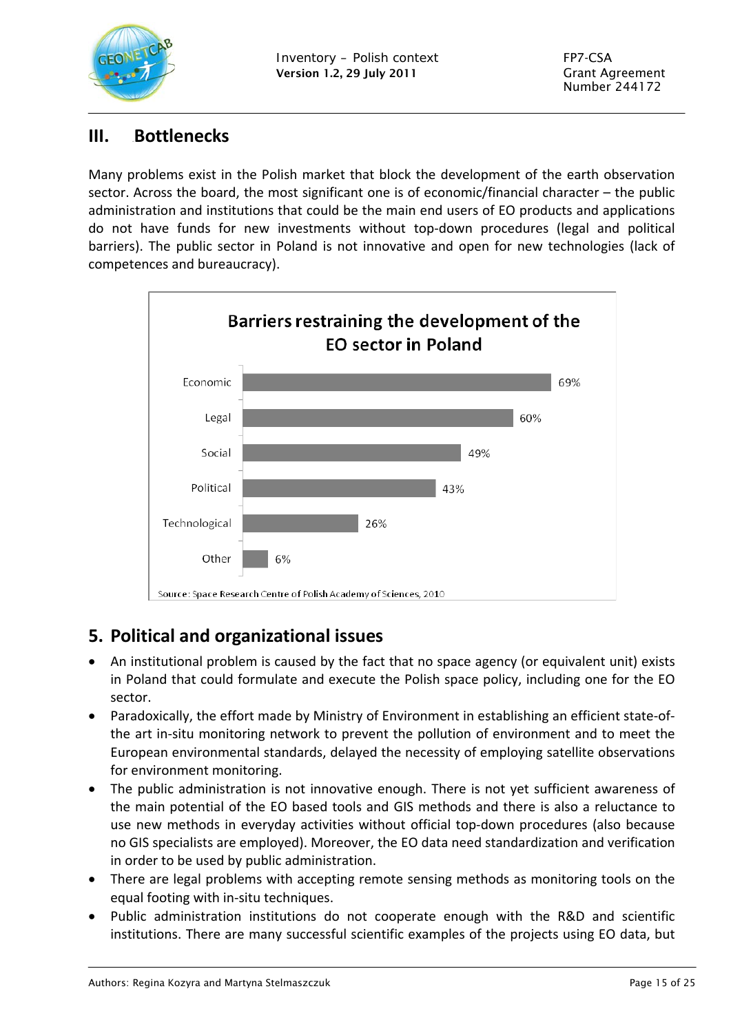

### **III.** Bottlenecks

Many problems exist in the Polish market that block the development of the earth observation sector. Across the board, the most significant one is of economic/financial character – the public administration and institutions that could be the main end users of EO products and applications do not have funds for new investments without top‐down procedures (legal and political barriers). The public sector in Poland is not innovative and open for new technologies (lack of competences and bureaucracy).



# <span id="page-14-1"></span>**5. Political and organizational issues**

- An institutional problem is caused by the fact that no space agency (or equivalent unit) exists in Poland that could formulate and execute the Polish space policy, including one for the EO sector.
- Paradoxically, the effort made by Ministry of Environment in establishing an efficient state-ofthe art in‐situ monitoring network to prevent the pollution of environment and to meet the European environmental standards, delayed the necessity of employing satellite observations for environment monitoring.
- <span id="page-14-0"></span> The public administration is not innovative enough. There is not yet sufficient awareness of the main potential of the EO based tools and GIS methods and there is also a reluctance to use new methods in everyday activities without official top-down procedures (also because no GIS specialists are employed). Moreover, the EO data need standardization and verification in order to be used by public administration.
- There are legal problems with accepting remote sensing methods as monitoring tools on the equal footing with in‐situ techniques.
- Public administration institutions do not cooperate enough with the R&D and scientific institutions. There are many successful scientific examples of the projects using EO data, but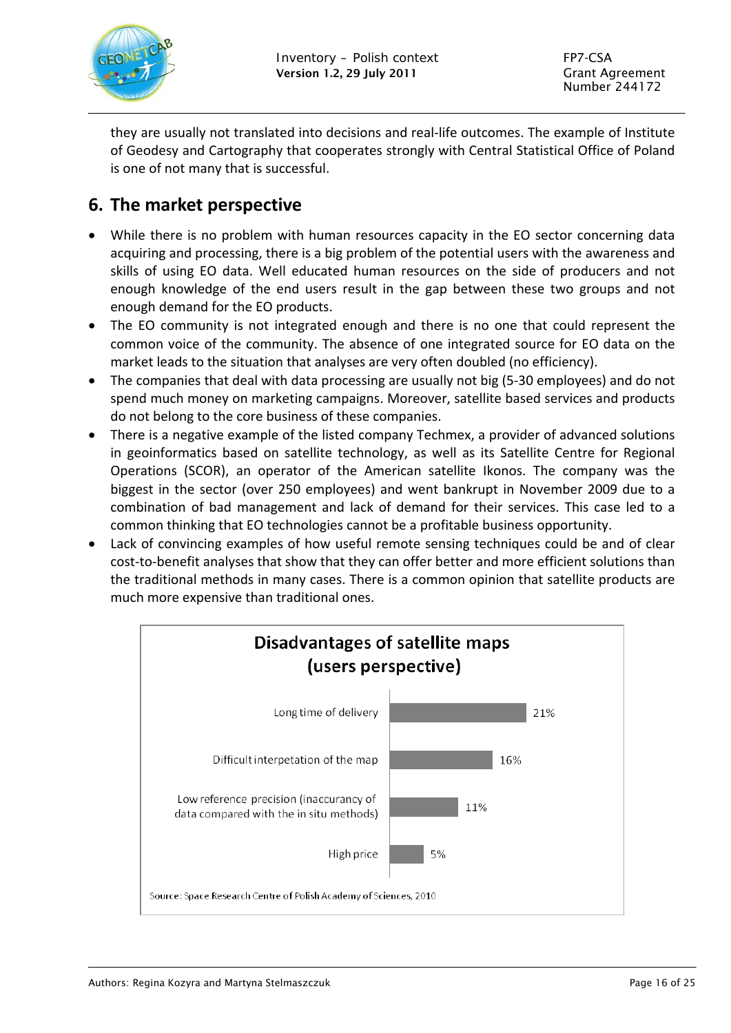

they are usually not translated into decisions and real‐life outcomes. The example of Institute of Geodesy and Cartography that cooperates strongly with Central Statistical Office of Poland is one of not many that is successful.

## <span id="page-15-0"></span>**6. The market perspective**

- While there is no problem with human resources capacity in the EO sector concerning data acquiring and processing, there is a big problem of the potential users with the awareness and skills of using EO data. Well educated human resources on the side of producers and not enough knowledge of the end users result in the gap between these two groups and not enough demand for the EO products.
- The EO community is not integrated enough and there is no one that could represent the common voice of the community. The absence of one integrated source for EO data on the market leads to the situation that analyses are very often doubled (no efficiency).
- The companies that deal with data processing are usually not big (5-30 employees) and do not spend much money on marketing campaigns. Moreover, satellite based services and products do not belong to the core business of these companies.
- There is a negative example of the listed company Techmex, a provider of advanced solutions in geoinformatics based on satellite technology, as well as its Satellite Centre for Regional Operations (SCOR), an operator of the American satellite Ikonos. The company was the biggest in the sector (over 250 employees) and went bankrupt in November 2009 due to a combination of bad management and lack of demand for their services. This case led to a common thinking that EO technologies cannot be a profitable business opportunity.
- Lack of convincing examples of how useful remote sensing techniques could be and of clear cost-to-benefit analyses that show that they can offer better and more efficient solutions than the traditional methods in many cases. There is a common opinion that satellite products are much more expensive than traditional ones.

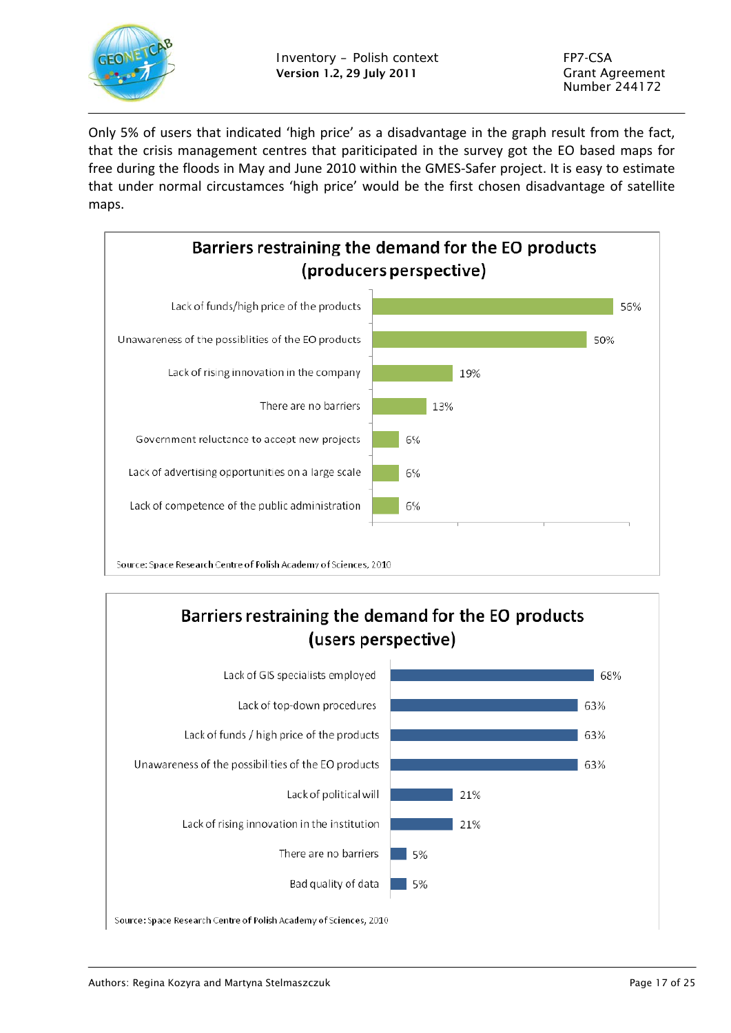

Only 5% of users that indicated 'high price' as a disadvantage in the graph result from the fact, that the crisis management centres that pariticipated in the survey got the EO based maps for free during the floods in May and June 2010 within the GMES‐Safer project. It is easy to estimate that under normal circustamces 'high price' would be the first chosen disadvantage of satellite maps.



# Barriers restraining the demand for the EO products (users perspective)

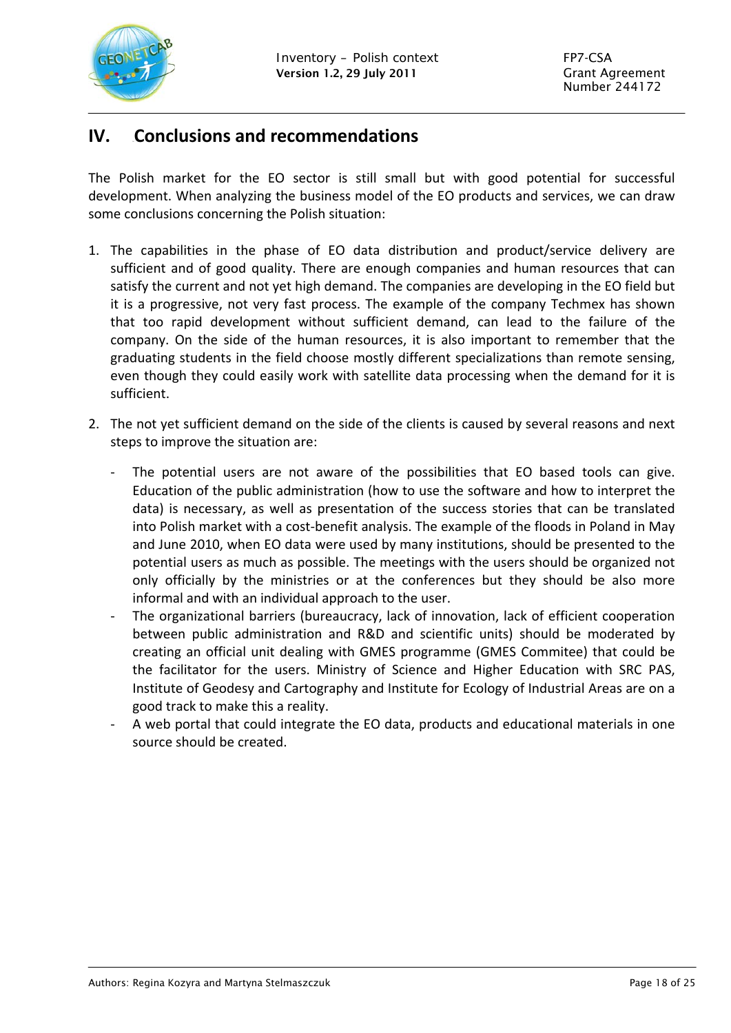

### <span id="page-17-0"></span>**IV.** Conclusions and recommendations

The Polish market for the EO sector is still small but with good potential for successful development. When analyzing the business model of the EO products and services, we can draw some conclusions concerning the Polish situation:

- 1. The capabilities in the phase of EO data distribution and product/service delivery are sufficient and of good quality. There are enough companies and human resources that can satisfy the current and not yet high demand. The companies are developing in the EO field but it is a progressive, not very fast process. The example of the company Techmex has shown that too rapid development without sufficient demand, can lead to the failure of the company. On the side of the human resources, it is also important to remember that the graduating students in the field choose mostly different specializations than remote sensing, even though they could easily work with satellite data processing when the demand for it is sufficient.
- 2. The not yet sufficient demand on the side of the clients is caused by several reasons and next steps to improve the situation are:
	- The potential users are not aware of the possibilities that EO based tools can give. Education of the public administration (how to use the software and how to interpret the data) is necessary, as well as presentation of the success stories that can be translated into Polish market with a cost-benefit analysis. The example of the floods in Poland in May and June 2010, when EO data were used by many institutions, should be presented to the potential users as much as possible. The meetings with the users should be organized not only officially by the ministries or at the conferences but they should be also more informal and with an individual approach to the user.
	- ‐ The organizational barriers (bureaucracy, lack of innovation, lack of efficient cooperation between public administration and R&D and scientific units) should be moderated by creating an official unit dealing with GMES programme (GMES Commitee) that could be the facilitator for the users. Ministry of Science and Higher Education with SRC PAS, Institute of Geodesy and Cartography and Institute for Ecology of Industrial Areas are on a good track to make this a reality.
	- ‐ A web portal that could integrate the EO data, products and educational materials in one source should be created.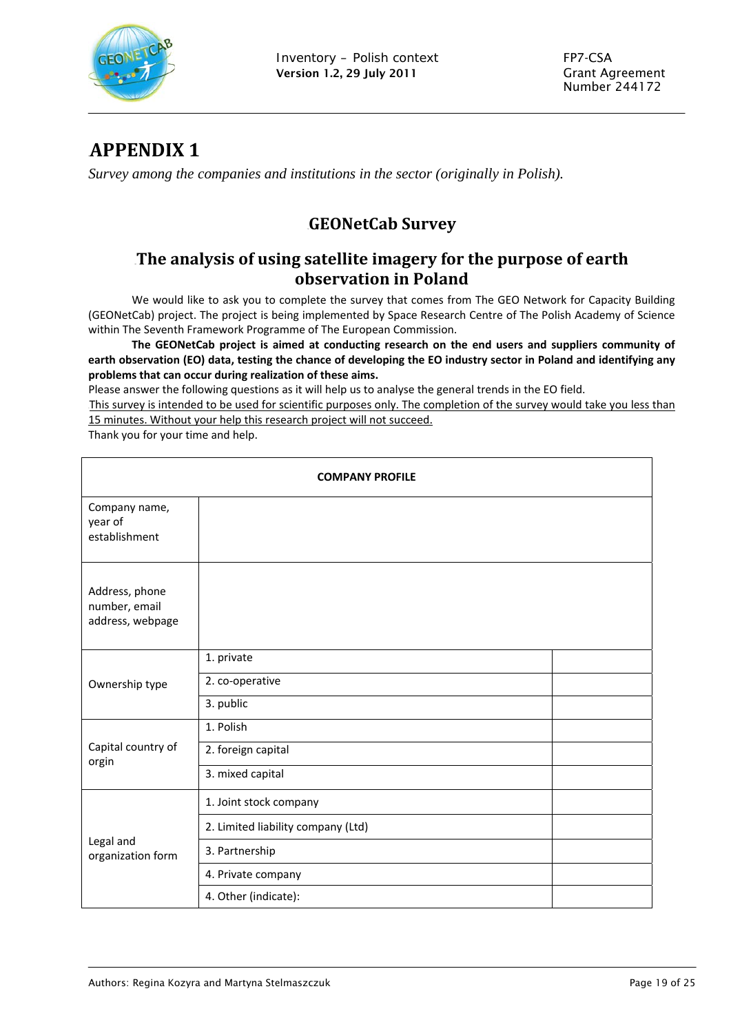

## 6B**APPENDIX 1**

*Survey among the companies and institutions in the sector (originally in Polish).* 

### 7B**GEONetCab Survey**

### 8B**The analysis of using satellite imagery for the purpose of earth observation in Poland**

We would like to ask you to complete the survey that comes from The GEO Network for Capacity Building (GEONetCab) project. The project is being implemented by Space Research Centre of The Polish Academy of Science within The Seventh Framework Programme of The European Commission.

**The GEONetCab project is aimed at conducting research on the end users and suppliers community of** earth observation (EO) data, testing the chance of developing the EO industry sector in Poland and identifying any **problems that can occur during realization of these aims.**

Please answer the following questions as it will help us to analyse the general trends in the EO field.

This survey is intended to be used for scientific purposes only. The completion of the survey would take you less than 15 minutes. Without your help this research project will not succeed.

Thank you for your time and help.

<span id="page-18-0"></span>

| <b>COMPANY PROFILE</b>                              |                                    |  |  |  |
|-----------------------------------------------------|------------------------------------|--|--|--|
| Company name,<br>year of<br>establishment           |                                    |  |  |  |
| Address, phone<br>number, email<br>address, webpage |                                    |  |  |  |
|                                                     | 1. private                         |  |  |  |
| Ownership type                                      | 2. co-operative                    |  |  |  |
|                                                     | 3. public                          |  |  |  |
|                                                     | 1. Polish                          |  |  |  |
| Capital country of<br>orgin                         | 2. foreign capital                 |  |  |  |
|                                                     | 3. mixed capital                   |  |  |  |
|                                                     | 1. Joint stock company             |  |  |  |
|                                                     | 2. Limited liability company (Ltd) |  |  |  |
| Legal and<br>organization form                      | 3. Partnership                     |  |  |  |
|                                                     | 4. Private company                 |  |  |  |
|                                                     | 4. Other (indicate):               |  |  |  |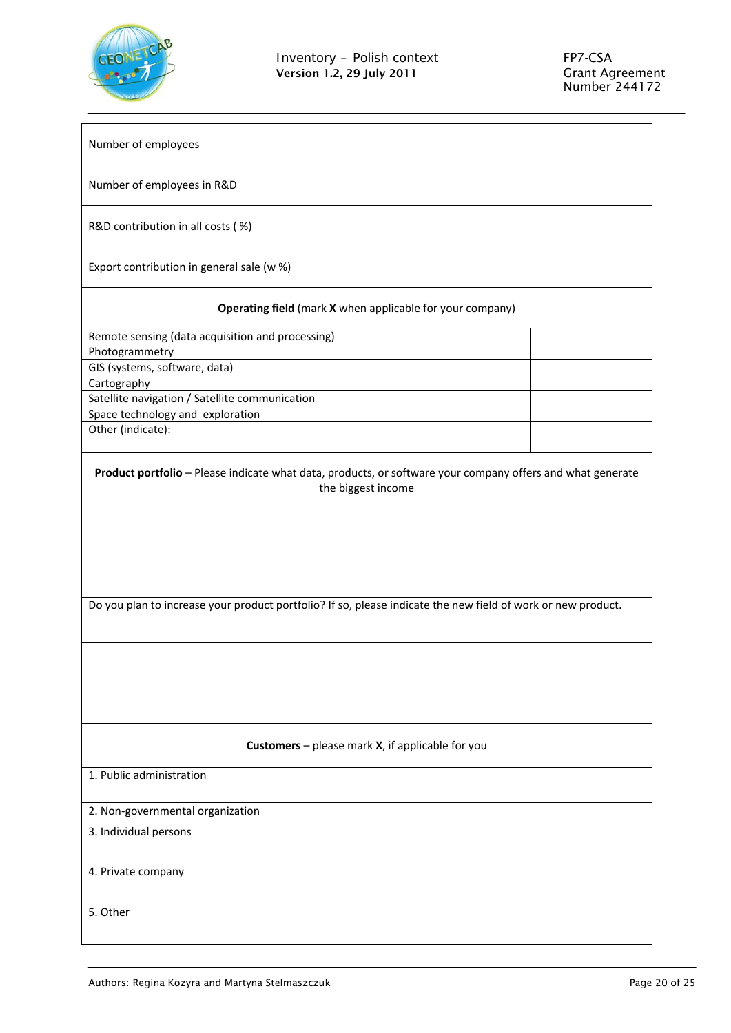

| Number of employees                                                                                                                                                                                                                              |  |
|--------------------------------------------------------------------------------------------------------------------------------------------------------------------------------------------------------------------------------------------------|--|
| Number of employees in R&D                                                                                                                                                                                                                       |  |
| R&D contribution in all costs (%)                                                                                                                                                                                                                |  |
| Export contribution in general sale (w %)                                                                                                                                                                                                        |  |
| Operating field (mark X when applicable for your company)                                                                                                                                                                                        |  |
| Remote sensing (data acquisition and processing)                                                                                                                                                                                                 |  |
| Photogrammetry                                                                                                                                                                                                                                   |  |
| GIS (systems, software, data)                                                                                                                                                                                                                    |  |
| Cartography                                                                                                                                                                                                                                      |  |
| Satellite navigation / Satellite communication                                                                                                                                                                                                   |  |
| Space technology and exploration                                                                                                                                                                                                                 |  |
| Other (indicate):                                                                                                                                                                                                                                |  |
| Product portfolio - Please indicate what data, products, or software your company offers and what generate<br>the biggest income<br>Do you plan to increase your product portfolio? If so, please indicate the new field of work or new product. |  |
| <b>Customers</b> – please mark $X$ , if applicable for you                                                                                                                                                                                       |  |
| 1. Public administration                                                                                                                                                                                                                         |  |
| 2. Non-governmental organization                                                                                                                                                                                                                 |  |
| 3. Individual persons                                                                                                                                                                                                                            |  |
|                                                                                                                                                                                                                                                  |  |
| 4. Private company                                                                                                                                                                                                                               |  |
| 5. Other                                                                                                                                                                                                                                         |  |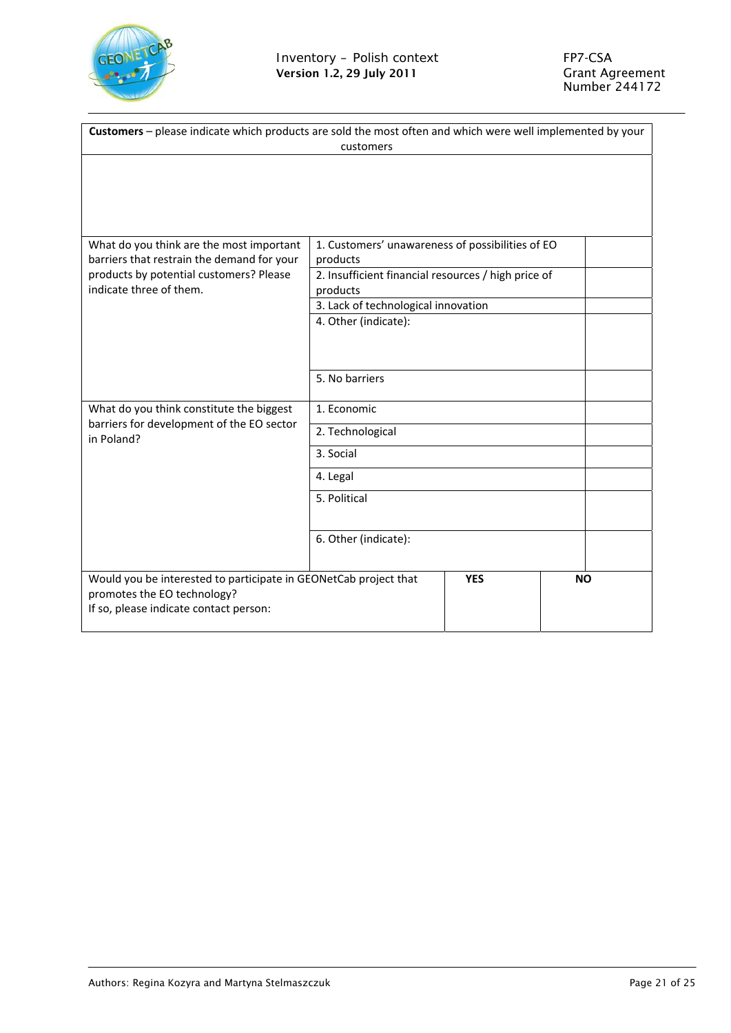

| Customers - please indicate which products are sold the most often and which were well implemented by your<br>customers                   |                                                                 |            |           |
|-------------------------------------------------------------------------------------------------------------------------------------------|-----------------------------------------------------------------|------------|-----------|
|                                                                                                                                           |                                                                 |            |           |
| What do you think are the most important                                                                                                  | 1. Customers' unawareness of possibilities of EO                |            |           |
| barriers that restrain the demand for your<br>products by potential customers? Please                                                     | products<br>2. Insufficient financial resources / high price of |            |           |
| indicate three of them.                                                                                                                   | products                                                        |            |           |
|                                                                                                                                           | 3. Lack of technological innovation                             |            |           |
|                                                                                                                                           | 4. Other (indicate):                                            |            |           |
|                                                                                                                                           | 5. No barriers                                                  |            |           |
|                                                                                                                                           |                                                                 |            |           |
| What do you think constitute the biggest                                                                                                  | 1. Economic                                                     |            |           |
| barriers for development of the EO sector<br>in Poland?                                                                                   | 2. Technological                                                |            |           |
|                                                                                                                                           | 3. Social                                                       |            |           |
|                                                                                                                                           | 4. Legal                                                        |            |           |
|                                                                                                                                           | 5. Political                                                    |            |           |
|                                                                                                                                           | 6. Other (indicate):                                            |            |           |
| Would you be interested to participate in GEONetCab project that<br>promotes the EO technology?<br>If so, please indicate contact person: |                                                                 | <b>YES</b> | <b>NO</b> |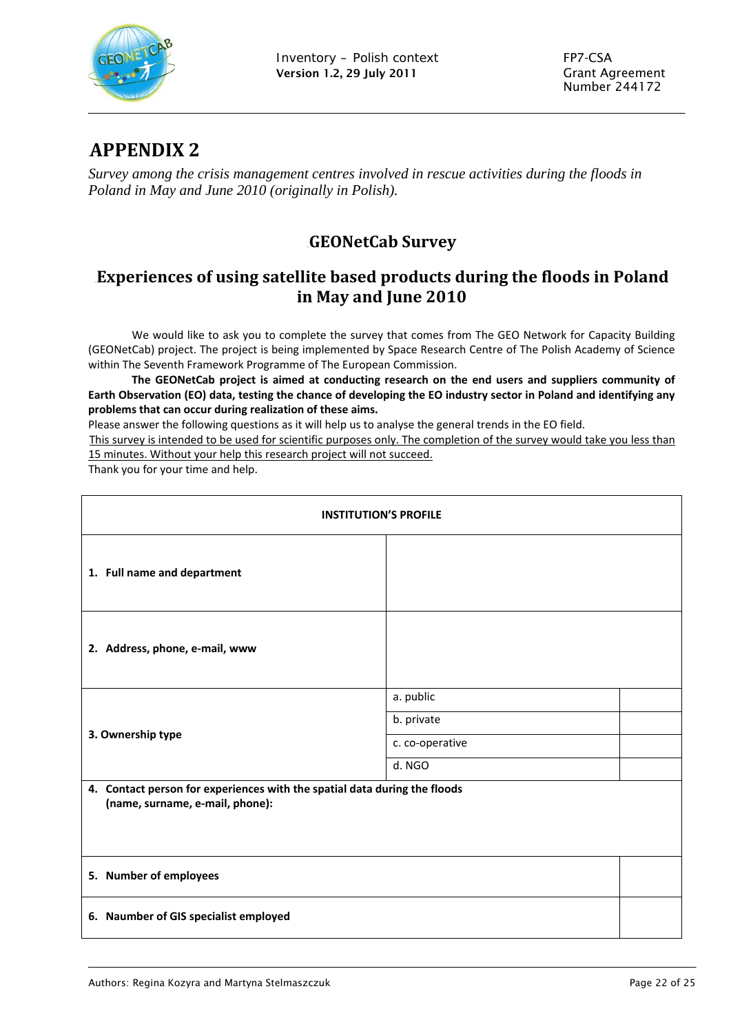

### 9B**APPENDIX 2**

*Survey among the crisis management centres involved in rescue activities during the floods in Poland in May and June 2010 (originally in Polish).* 

### 10B**GEONetCab Survey**

### 11B**Experiences of using satellite based products during the floods in Poland in May and June 2010**

We would like to ask you to complete the survey that comes from The GEO Network for Capacity Building (GEONetCab) project. The project is being implemented by Space Research Centre of The Polish Academy of Science within The Seventh Framework Programme of The European Commission.

**The GEONetCab project is aimed at conducting research on the end users and suppliers community of** Earth Observation (EO) data, testing the chance of developing the EO industry sector in Poland and identifying any **problems that can occur during realization of these aims.**

Please answer the following questions as it will help us to analyse the general trends in the EO field.

<sup>U</sup>This survey is intended to be used for scientific purposes only. The completion of the survey would take you less than 15 minutes. Without your help this research project will not succeed.

Thank you for your time and help.

<span id="page-21-0"></span>

| <b>INSTITUTION'S PROFILE</b>                                                                                 |                 |  |
|--------------------------------------------------------------------------------------------------------------|-----------------|--|
| 1. Full name and department                                                                                  |                 |  |
| 2. Address, phone, e-mail, www                                                                               |                 |  |
|                                                                                                              | a. public       |  |
|                                                                                                              | b. private      |  |
| 3. Ownership type                                                                                            | c. co-operative |  |
|                                                                                                              | d. NGO          |  |
| 4. Contact person for experiences with the spatial data during the floods<br>(name, surname, e-mail, phone): |                 |  |
| 5. Number of employees                                                                                       |                 |  |
| 6. Naumber of GIS specialist employed                                                                        |                 |  |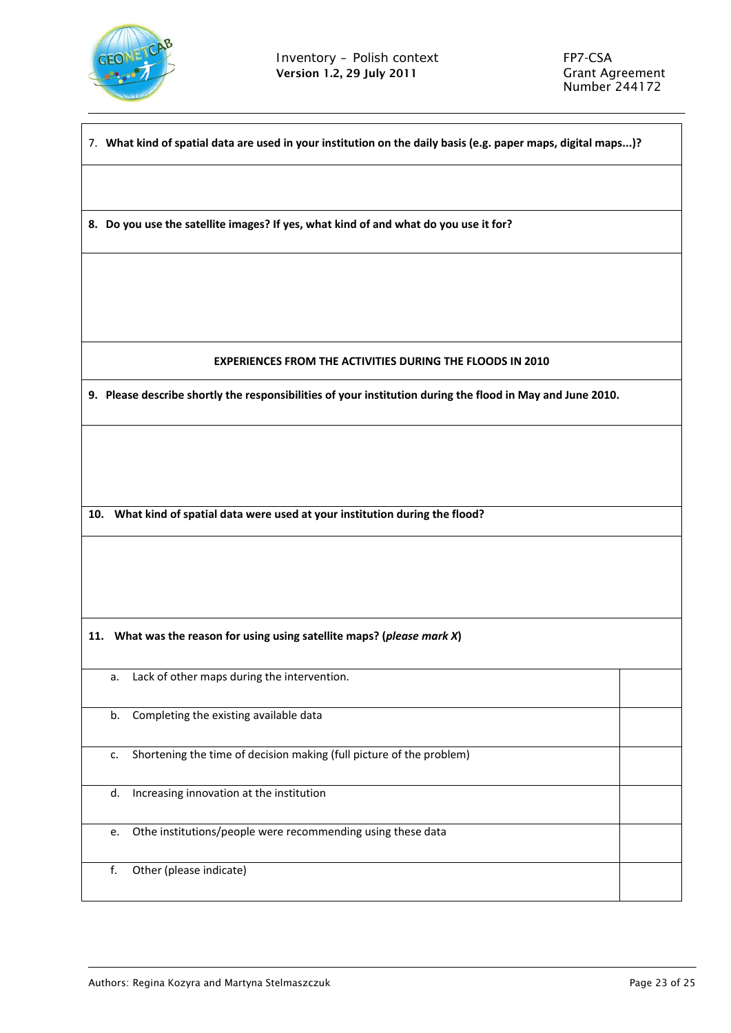

| 7. What kind of spatial data are used in your institution on the daily basis (e.g. paper maps, digital maps)? |  |  |
|---------------------------------------------------------------------------------------------------------------|--|--|
|                                                                                                               |  |  |
| 8. Do you use the satellite images? If yes, what kind of and what do you use it for?                          |  |  |
|                                                                                                               |  |  |
|                                                                                                               |  |  |
| <b>EXPERIENCES FROM THE ACTIVITIES DURING THE FLOODS IN 2010</b>                                              |  |  |
| 9. Please describe shortly the responsibilities of your institution during the flood in May and June 2010.    |  |  |
|                                                                                                               |  |  |
|                                                                                                               |  |  |
| 10. What kind of spatial data were used at your institution during the flood?                                 |  |  |
|                                                                                                               |  |  |
|                                                                                                               |  |  |
| 11. What was the reason for using using satellite maps? (please mark X)                                       |  |  |
| a. Lack of other maps during the intervention.                                                                |  |  |
| Completing the existing available data<br>b.                                                                  |  |  |
| Shortening the time of decision making (full picture of the problem)<br>c.                                    |  |  |
| Increasing innovation at the institution<br>d.                                                                |  |  |
| Othe institutions/people were recommending using these data<br>e.                                             |  |  |
| Other (please indicate)<br>f.                                                                                 |  |  |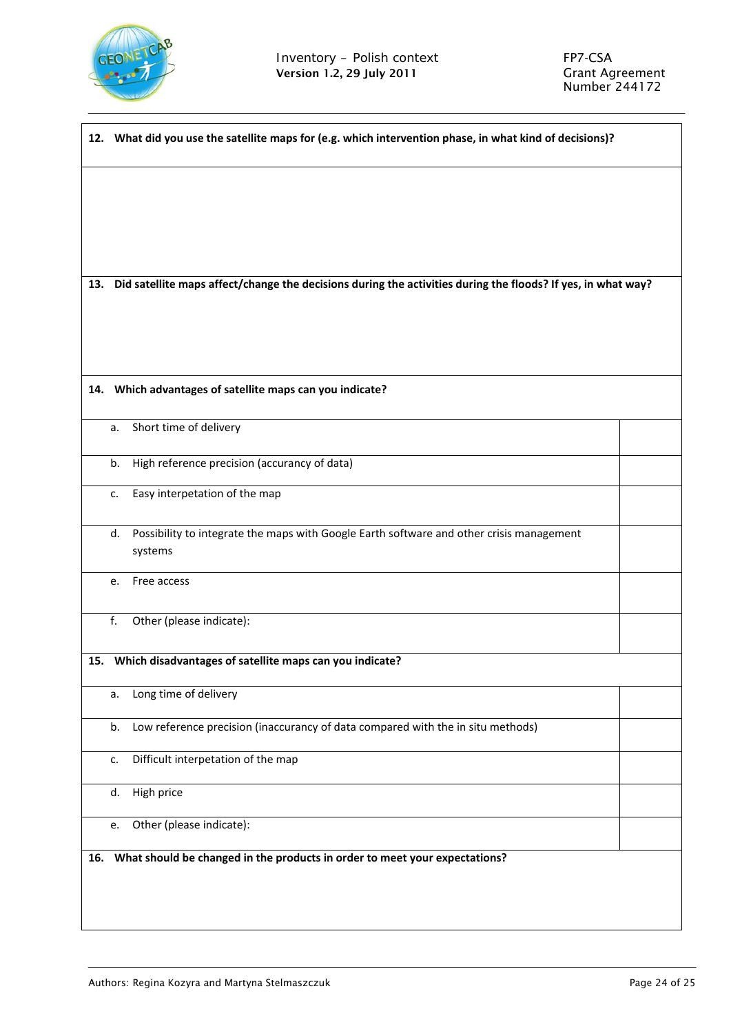

|     |    | 12. What did you use the satellite maps for (e.g. which intervention phase, in what kind of decisions)?      |  |
|-----|----|--------------------------------------------------------------------------------------------------------------|--|
|     |    |                                                                                                              |  |
|     |    |                                                                                                              |  |
|     |    |                                                                                                              |  |
|     |    |                                                                                                              |  |
| 13. |    | Did satellite maps affect/change the decisions during the activities during the floods? If yes, in what way? |  |
|     |    |                                                                                                              |  |
|     |    |                                                                                                              |  |
|     |    | 14. Which advantages of satellite maps can you indicate?                                                     |  |
|     |    |                                                                                                              |  |
|     | a. | Short time of delivery                                                                                       |  |
|     | b. | High reference precision (accurancy of data)                                                                 |  |
|     | c. | Easy interpetation of the map                                                                                |  |
|     | d. | Possibility to integrate the maps with Google Earth software and other crisis management                     |  |
|     |    | systems                                                                                                      |  |
|     | e. | Free access                                                                                                  |  |
|     | f. | Other (please indicate):                                                                                     |  |
|     |    |                                                                                                              |  |
|     |    | 15. Which disadvantages of satellite maps can you indicate?                                                  |  |
|     | a. | Long time of delivery                                                                                        |  |
|     | b. | Low reference precision (inaccurancy of data compared with the in situ methods)                              |  |
|     | c. | Difficult interpetation of the map                                                                           |  |
|     | d. | High price                                                                                                   |  |
|     | e. | Other (please indicate):                                                                                     |  |
|     |    | 16. What should be changed in the products in order to meet your expectations?                               |  |
|     |    |                                                                                                              |  |
|     |    |                                                                                                              |  |